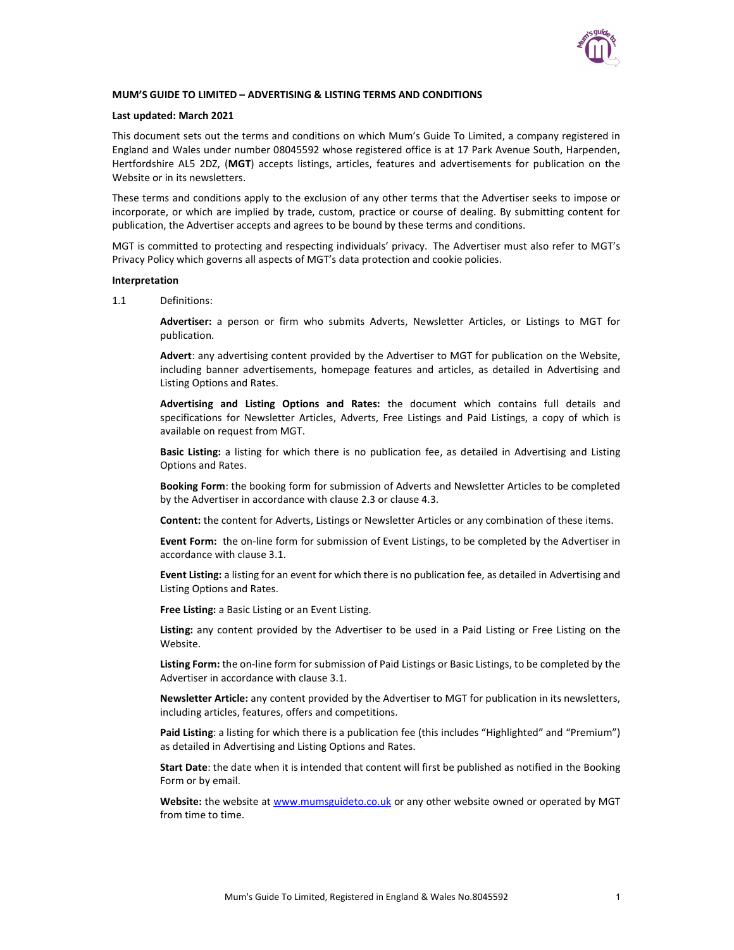

### MUM'S GUIDE TO LIMITED – ADVERTISING & LISTING TERMS AND CONDITIONS

#### Last updated: March 2021

This document sets out the terms and conditions on which Mum's Guide To Limited, a company registered in England and Wales under number 08045592 whose registered office is at 17 Park Avenue South, Harpenden, Hertfordshire AL5 2DZ, (MGT) accepts listings, articles, features and advertisements for publication on the Website or in its newsletters.

These terms and conditions apply to the exclusion of any other terms that the Advertiser seeks to impose or incorporate, or which are implied by trade, custom, practice or course of dealing. By submitting content for publication, the Advertiser accepts and agrees to be bound by these terms and conditions.

MGT is committed to protecting and respecting individuals' privacy. The Advertiser must also refer to MGT's Privacy Policy which governs all aspects of MGT's data protection and cookie policies.

#### Interpretation

1.1 Definitions:

Advertiser: a person or firm who submits Adverts, Newsletter Articles, or Listings to MGT for publication.

Advert: any advertising content provided by the Advertiser to MGT for publication on the Website, including banner advertisements, homepage features and articles, as detailed in Advertising and Listing Options and Rates.

Advertising and Listing Options and Rates: the document which contains full details and specifications for Newsletter Articles, Adverts, Free Listings and Paid Listings, a copy of which is available on request from MGT.

Basic Listing: a listing for which there is no publication fee, as detailed in Advertising and Listing Options and Rates.

Booking Form: the booking form for submission of Adverts and Newsletter Articles to be completed by the Advertiser in accordance with clause 2.3 or clause 4.3.

Content: the content for Adverts, Listings or Newsletter Articles or any combination of these items.

Event Form: the on-line form for submission of Event Listings, to be completed by the Advertiser in accordance with clause 3.1.

Event Listing: a listing for an event for which there is no publication fee, as detailed in Advertising and Listing Options and Rates.

Free Listing: a Basic Listing or an Event Listing.

Listing: any content provided by the Advertiser to be used in a Paid Listing or Free Listing on the Website.

Listing Form: the on-line form for submission of Paid Listings or Basic Listings, to be completed by the Advertiser in accordance with clause 3.1.

Newsletter Article: any content provided by the Advertiser to MGT for publication in its newsletters, including articles, features, offers and competitions.

Paid Listing: a listing for which there is a publication fee (this includes "Highlighted" and "Premium") as detailed in Advertising and Listing Options and Rates.

Start Date: the date when it is intended that content will first be published as notified in the Booking Form or by email.

Website: the website at www.mumsguideto.co.uk or any other website owned or operated by MGT from time to time.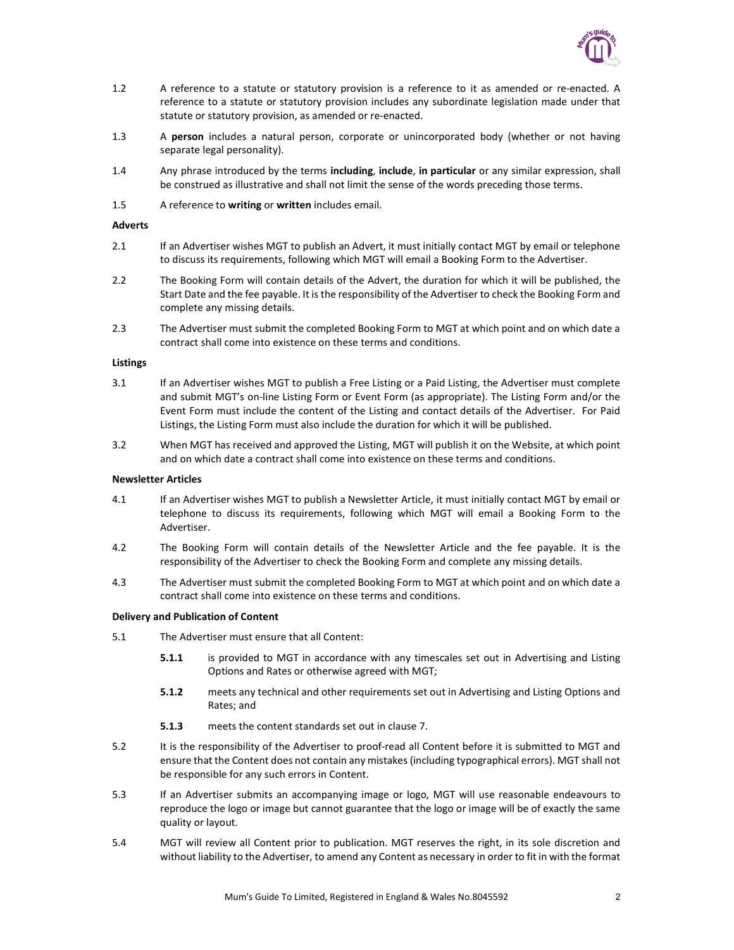

- 1.2 A reference to a statute or statutory provision is a reference to it as amended or re-enacted. A reference to a statute or statutory provision includes any subordinate legislation made under that statute or statutory provision, as amended or re-enacted.
- 1.3 A person includes a natural person, corporate or unincorporated body (whether or not having separate legal personality).
- 1.4 Any phrase introduced by the terms including, include, in particular or any similar expression, shall be construed as illustrative and shall not limit the sense of the words preceding those terms.
- 1.5 A reference to writing or written includes email.

### Adverts

- 2.1 If an Advertiser wishes MGT to publish an Advert, it must initially contact MGT by email or telephone to discuss its requirements, following which MGT will email a Booking Form to the Advertiser.
- 2.2 The Booking Form will contain details of the Advert, the duration for which it will be published, the Start Date and the fee payable. It is the responsibility of the Advertiser to check the Booking Form and complete any missing details.
- 2.3 The Advertiser must submit the completed Booking Form to MGT at which point and on which date a contract shall come into existence on these terms and conditions.

### Listings

- 3.1 If an Advertiser wishes MGT to publish a Free Listing or a Paid Listing, the Advertiser must complete and submit MGT's on-line Listing Form or Event Form (as appropriate). The Listing Form and/or the Event Form must include the content of the Listing and contact details of the Advertiser. For Paid Listings, the Listing Form must also include the duration for which it will be published.
- 3.2 When MGT has received and approved the Listing, MGT will publish it on the Website, at which point and on which date a contract shall come into existence on these terms and conditions.

#### Newsletter Articles

- 4.1 If an Advertiser wishes MGT to publish a Newsletter Article, it must initially contact MGT by email or telephone to discuss its requirements, following which MGT will email a Booking Form to the Advertiser.
- 4.2 The Booking Form will contain details of the Newsletter Article and the fee payable. It is the responsibility of the Advertiser to check the Booking Form and complete any missing details.
- 4.3 The Advertiser must submit the completed Booking Form to MGT at which point and on which date a contract shall come into existence on these terms and conditions.

# Delivery and Publication of Content

- 5.1 The Advertiser must ensure that all Content:
	- **5.1.1** is provided to MGT in accordance with any timescales set out in Advertising and Listing Options and Rates or otherwise agreed with MGT;
	- 5.1.2 meets any technical and other requirements set out in Advertising and Listing Options and Rates; and
	- 5.1.3 meets the content standards set out in clause 7.
- 5.2 It is the responsibility of the Advertiser to proof-read all Content before it is submitted to MGT and ensure that the Content does not contain any mistakes (including typographical errors). MGT shall not be responsible for any such errors in Content.
- 5.3 If an Advertiser submits an accompanying image or logo, MGT will use reasonable endeavours to reproduce the logo or image but cannot guarantee that the logo or image will be of exactly the same quality or layout.
- 5.4 MGT will review all Content prior to publication. MGT reserves the right, in its sole discretion and without liability to the Advertiser, to amend any Content as necessary in order to fit in with the format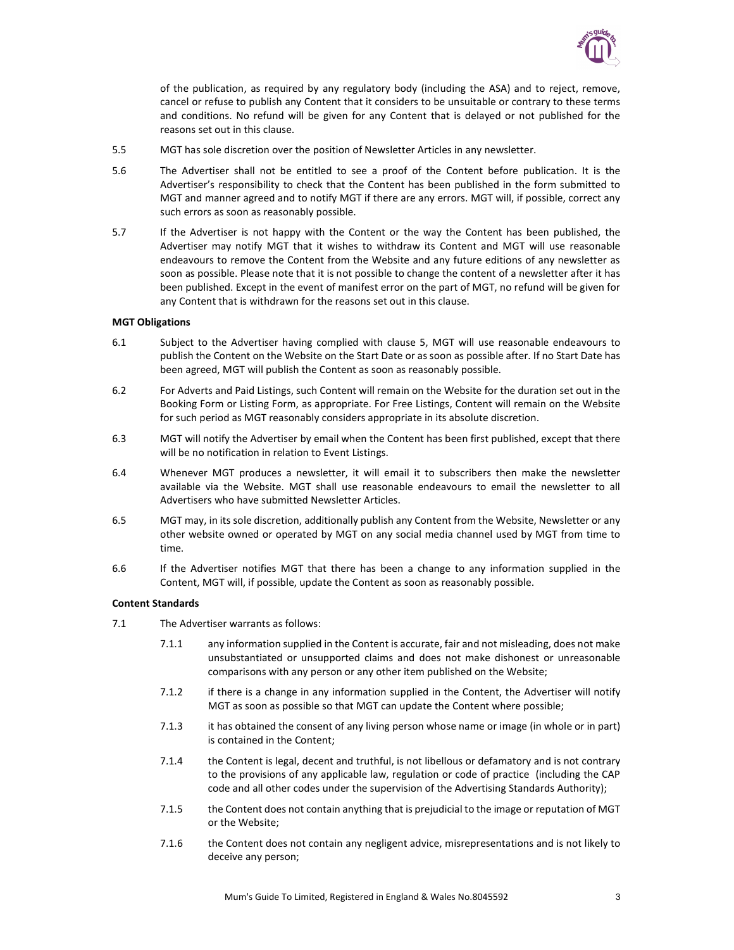

of the publication, as required by any regulatory body (including the ASA) and to reject, remove, cancel or refuse to publish any Content that it considers to be unsuitable or contrary to these terms and conditions. No refund will be given for any Content that is delayed or not published for the reasons set out in this clause.

- 5.5 MGT has sole discretion over the position of Newsletter Articles in any newsletter.
- 5.6 The Advertiser shall not be entitled to see a proof of the Content before publication. It is the Advertiser's responsibility to check that the Content has been published in the form submitted to MGT and manner agreed and to notify MGT if there are any errors. MGT will, if possible, correct any such errors as soon as reasonably possible.
- 5.7 If the Advertiser is not happy with the Content or the way the Content has been published, the Advertiser may notify MGT that it wishes to withdraw its Content and MGT will use reasonable endeavours to remove the Content from the Website and any future editions of any newsletter as soon as possible. Please note that it is not possible to change the content of a newsletter after it has been published. Except in the event of manifest error on the part of MGT, no refund will be given for any Content that is withdrawn for the reasons set out in this clause.

## MGT Obligations

- 6.1 Subject to the Advertiser having complied with clause 5, MGT will use reasonable endeavours to publish the Content on the Website on the Start Date or as soon as possible after. If no Start Date has been agreed, MGT will publish the Content as soon as reasonably possible.
- 6.2 For Adverts and Paid Listings, such Content will remain on the Website for the duration set out in the Booking Form or Listing Form, as appropriate. For Free Listings, Content will remain on the Website for such period as MGT reasonably considers appropriate in its absolute discretion.
- 6.3 MGT will notify the Advertiser by email when the Content has been first published, except that there will be no notification in relation to Event Listings.
- 6.4 Whenever MGT produces a newsletter, it will email it to subscribers then make the newsletter available via the Website. MGT shall use reasonable endeavours to email the newsletter to all Advertisers who have submitted Newsletter Articles.
- 6.5 MGT may, in its sole discretion, additionally publish any Content from the Website, Newsletter or any other website owned or operated by MGT on any social media channel used by MGT from time to time.
- 6.6 If the Advertiser notifies MGT that there has been a change to any information supplied in the Content, MGT will, if possible, update the Content as soon as reasonably possible.

#### Content Standards

- 7.1 The Advertiser warrants as follows:
	- 7.1.1 any information supplied in the Content is accurate, fair and not misleading, does not make unsubstantiated or unsupported claims and does not make dishonest or unreasonable comparisons with any person or any other item published on the Website;
	- 7.1.2 if there is a change in any information supplied in the Content, the Advertiser will notify MGT as soon as possible so that MGT can update the Content where possible;
	- 7.1.3 it has obtained the consent of any living person whose name or image (in whole or in part) is contained in the Content;
	- 7.1.4 the Content is legal, decent and truthful, is not libellous or defamatory and is not contrary to the provisions of any applicable law, regulation or code of practice (including the CAP code and all other codes under the supervision of the Advertising Standards Authority);
	- 7.1.5 the Content does not contain anything that is prejudicial to the image or reputation of MGT or the Website;
	- 7.1.6 the Content does not contain any negligent advice, misrepresentations and is not likely to deceive any person;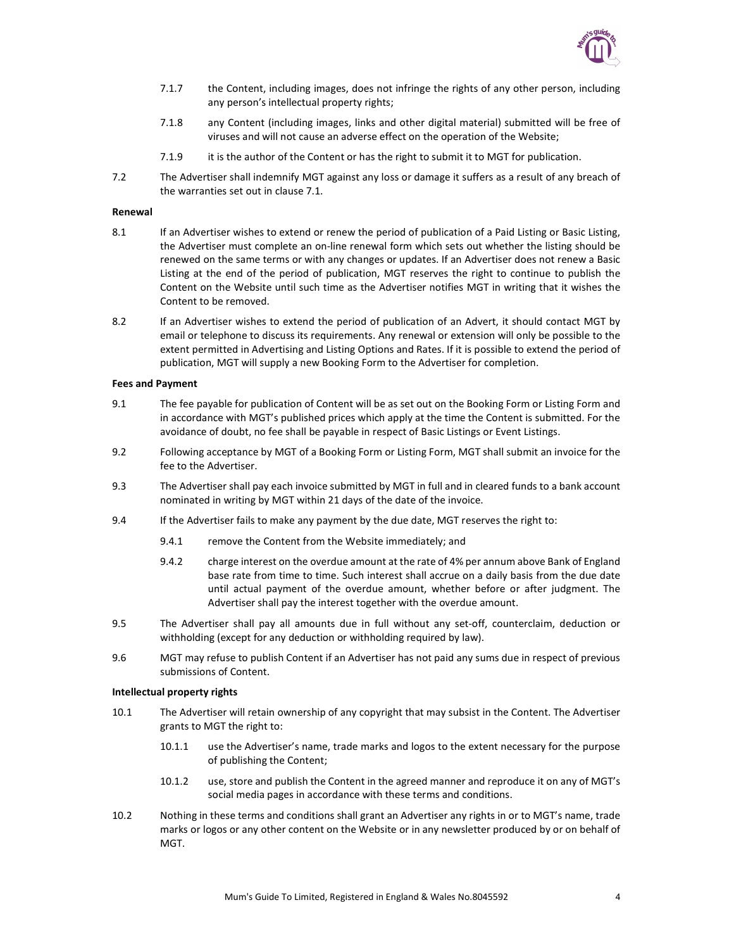

- 7.1.7 the Content, including images, does not infringe the rights of any other person, including any person's intellectual property rights;
- 7.1.8 any Content (including images, links and other digital material) submitted will be free of viruses and will not cause an adverse effect on the operation of the Website;
- 7.1.9 it is the author of the Content or has the right to submit it to MGT for publication.
- 7.2 The Advertiser shall indemnify MGT against any loss or damage it suffers as a result of any breach of the warranties set out in clause 7.1.

# Renewal

- 8.1 If an Advertiser wishes to extend or renew the period of publication of a Paid Listing or Basic Listing, the Advertiser must complete an on-line renewal form which sets out whether the listing should be renewed on the same terms or with any changes or updates. If an Advertiser does not renew a Basic Listing at the end of the period of publication, MGT reserves the right to continue to publish the Content on the Website until such time as the Advertiser notifies MGT in writing that it wishes the Content to be removed.
- 8.2 If an Advertiser wishes to extend the period of publication of an Advert, it should contact MGT by email or telephone to discuss its requirements. Any renewal or extension will only be possible to the extent permitted in Advertising and Listing Options and Rates. If it is possible to extend the period of publication, MGT will supply a new Booking Form to the Advertiser for completion.

### Fees and Payment

- 9.1 The fee payable for publication of Content will be as set out on the Booking Form or Listing Form and in accordance with MGT's published prices which apply at the time the Content is submitted. For the avoidance of doubt, no fee shall be payable in respect of Basic Listings or Event Listings.
- 9.2 Following acceptance by MGT of a Booking Form or Listing Form, MGT shall submit an invoice for the fee to the Advertiser.
- 9.3 The Advertiser shall pay each invoice submitted by MGT in full and in cleared funds to a bank account nominated in writing by MGT within 21 days of the date of the invoice.
- 9.4 If the Advertiser fails to make any payment by the due date, MGT reserves the right to:
	- 9.4.1 remove the Content from the Website immediately; and
	- 9.4.2 charge interest on the overdue amount at the rate of 4% per annum above Bank of England base rate from time to time. Such interest shall accrue on a daily basis from the due date until actual payment of the overdue amount, whether before or after judgment. The Advertiser shall pay the interest together with the overdue amount.
- 9.5 The Advertiser shall pay all amounts due in full without any set-off, counterclaim, deduction or withholding (except for any deduction or withholding required by law).
- 9.6 MGT may refuse to publish Content if an Advertiser has not paid any sums due in respect of previous submissions of Content.

#### Intellectual property rights

- 10.1 The Advertiser will retain ownership of any copyright that may subsist in the Content. The Advertiser grants to MGT the right to:
	- 10.1.1 use the Advertiser's name, trade marks and logos to the extent necessary for the purpose of publishing the Content;
	- 10.1.2 use, store and publish the Content in the agreed manner and reproduce it on any of MGT's social media pages in accordance with these terms and conditions.
- 10.2 Nothing in these terms and conditions shall grant an Advertiser any rights in or to MGT's name, trade marks or logos or any other content on the Website or in any newsletter produced by or on behalf of MGT.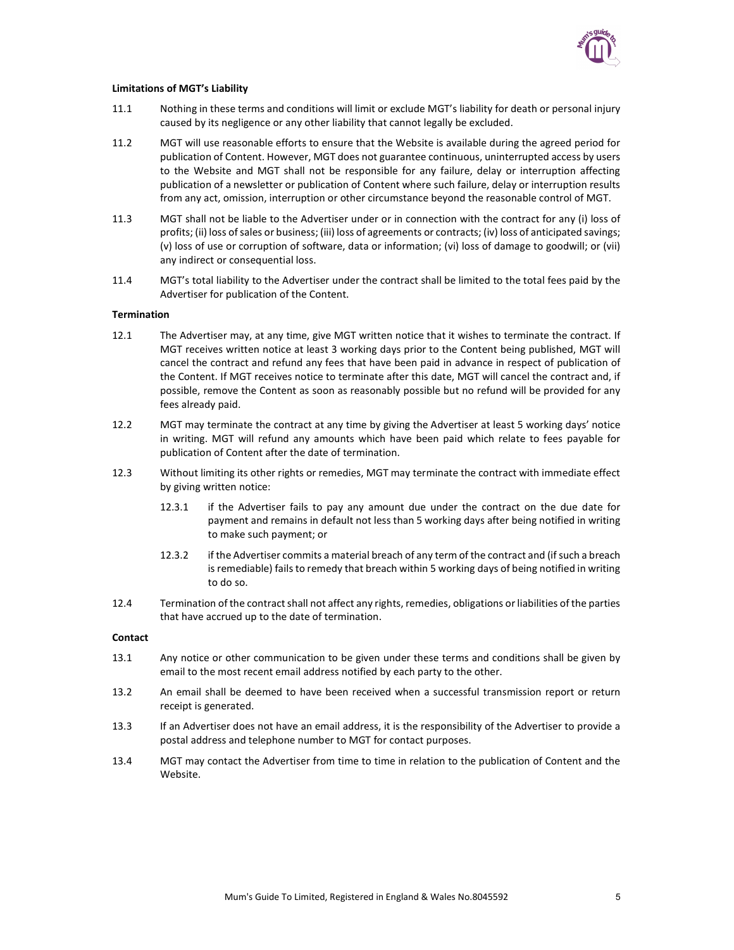

### Limitations of MGT's Liability

- 11.1 Nothing in these terms and conditions will limit or exclude MGT's liability for death or personal injury caused by its negligence or any other liability that cannot legally be excluded.
- 11.2 MGT will use reasonable efforts to ensure that the Website is available during the agreed period for publication of Content. However, MGT does not guarantee continuous, uninterrupted access by users to the Website and MGT shall not be responsible for any failure, delay or interruption affecting publication of a newsletter or publication of Content where such failure, delay or interruption results from any act, omission, interruption or other circumstance beyond the reasonable control of MGT.
- 11.3 MGT shall not be liable to the Advertiser under or in connection with the contract for any (i) loss of profits; (ii) loss of sales or business; (iii) loss of agreements or contracts; (iv) loss of anticipated savings; (v) loss of use or corruption of software, data or information; (vi) loss of damage to goodwill; or (vii) any indirect or consequential loss.
- 11.4 MGT's total liability to the Advertiser under the contract shall be limited to the total fees paid by the Advertiser for publication of the Content.

# Termination

- 12.1 The Advertiser may, at any time, give MGT written notice that it wishes to terminate the contract. If MGT receives written notice at least 3 working days prior to the Content being published, MGT will cancel the contract and refund any fees that have been paid in advance in respect of publication of the Content. If MGT receives notice to terminate after this date, MGT will cancel the contract and, if possible, remove the Content as soon as reasonably possible but no refund will be provided for any fees already paid.
- 12.2 MGT may terminate the contract at any time by giving the Advertiser at least 5 working days' notice in writing. MGT will refund any amounts which have been paid which relate to fees payable for publication of Content after the date of termination.
- 12.3 Without limiting its other rights or remedies, MGT may terminate the contract with immediate effect by giving written notice:
	- 12.3.1 if the Advertiser fails to pay any amount due under the contract on the due date for payment and remains in default not less than 5 working days after being notified in writing to make such payment; or
	- 12.3.2 if the Advertiser commits a material breach of any term of the contract and (if such a breach is remediable) fails to remedy that breach within 5 working days of being notified in writing to do so.
- 12.4 Termination of the contract shall not affect any rights, remedies, obligations or liabilities of the parties that have accrued up to the date of termination.

### **Contact**

- 13.1 Any notice or other communication to be given under these terms and conditions shall be given by email to the most recent email address notified by each party to the other.
- 13.2 An email shall be deemed to have been received when a successful transmission report or return receipt is generated.
- 13.3 If an Advertiser does not have an email address, it is the responsibility of the Advertiser to provide a postal address and telephone number to MGT for contact purposes.
- 13.4 MGT may contact the Advertiser from time to time in relation to the publication of Content and the Website.